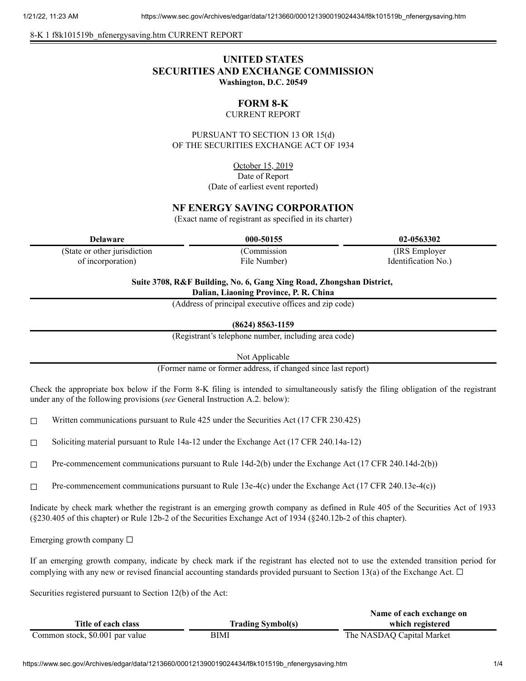8-K 1 f8k101519b\_nfenergysaving.htm CURRENT REPORT

## **UNITED STATES SECURITIES AND EXCHANGE COMMISSION Washington, D.C. 20549**

# **FORM 8-K**

## CURRENT REPORT

PURSUANT TO SECTION 13 OR 15(d) OF THE SECURITIES EXCHANGE ACT OF 1934

> October 15, 2019 Date of Report (Date of earliest event reported)

## **NF ENERGY SAVING CORPORATION**

(Exact name of registrant as specified in its charter)

**Delaware 000-50155 02-0563302**

(State or other jurisdiction of incorporation)

(Commission File Number)

(IRS Employer Identification No.)

**Suite 3708, R&F Building, No. 6, Gang Xing Road, Zhongshan District, Dalian, Liaoning Province, P. R. China**

(Address of principal executive offices and zip code)

**(8624) 8563-1159**

(Registrant's telephone number, including area code)

Not Applicable

(Former name or former address, if changed since last report)

Check the appropriate box below if the Form 8-K filing is intended to simultaneously satisfy the filing obligation of the registrant under any of the following provisions (*see* General Instruction A.2. below):

☐ Written communications pursuant to Rule 425 under the Securities Act (17 CFR 230.425)

☐ Soliciting material pursuant to Rule 14a-12 under the Exchange Act (17 CFR 240.14a-12)

☐ Pre-commencement communications pursuant to Rule 14d-2(b) under the Exchange Act (17 CFR 240.14d-2(b))

 $\Box$  Pre-commencement communications pursuant to Rule 13e-4(c) under the Exchange Act (17 CFR 240.13e-4(c))

Indicate by check mark whether the registrant is an emerging growth company as defined in Rule 405 of the Securities Act of 1933 (§230.405 of this chapter) or Rule 12b-2 of the Securities Exchange Act of 1934 (§240.12b-2 of this chapter).

Emerging growth company  $\Box$ 

If an emerging growth company, indicate by check mark if the registrant has elected not to use the extended transition period for complying with any new or revised financial accounting standards provided pursuant to Section 13(a) of the Exchange Act.  $\Box$ 

Securities registered pursuant to Section 12(b) of the Act:

|                                 |                          | Name of each exchange on  |
|---------------------------------|--------------------------|---------------------------|
| Title of each class             | <b>Trading Symbol(s)</b> | which registered          |
| Common stock, \$0.001 par value | BIMI                     | The NASDAQ Capital Market |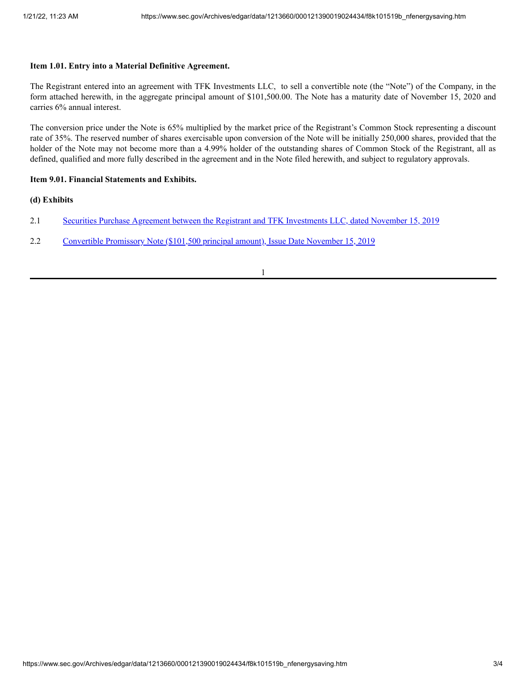#### **Item 1.01. Entry into a Material Definitive Agreement.**

The Registrant entered into an agreement with TFK Investments LLC, to sell a convertible note (the "Note") of the Company, in the form attached herewith, in the aggregate principal amount of \$101,500.00. The Note has a maturity date of November 15, 2020 and carries 6% annual interest.

The conversion price under the Note is 65% multiplied by the market price of the Registrant's Common Stock representing a discount rate of 35%. The reserved number of shares exercisable upon conversion of the Note will be initially 250,000 shares, provided that the holder of the Note may not become more than a 4.99% holder of the outstanding shares of Common Stock of the Registrant, all as defined, qualified and more fully described in the agreement and in the Note filed herewith, and subject to regulatory approvals.

#### **Item 9.01. Financial Statements and Exhibits.**

#### **(d) Exhibits**

- 2.1 Securities Purchase Agreement between the Registrant and TFK [Investments](https://www.sec.gov/Archives/edgar/data/1213660/000121390019024434/f8k101519bex2-1_nfenergy.htm) LLC, dated November 15, 2019
- 2.2 [Convertible](https://www.sec.gov/Archives/edgar/data/1213660/000121390019024434/f8k101519bex2-2_nfenergy.htm) Promissory Note (\$101,500 principal amount), Issue Date November 15, 2019

1